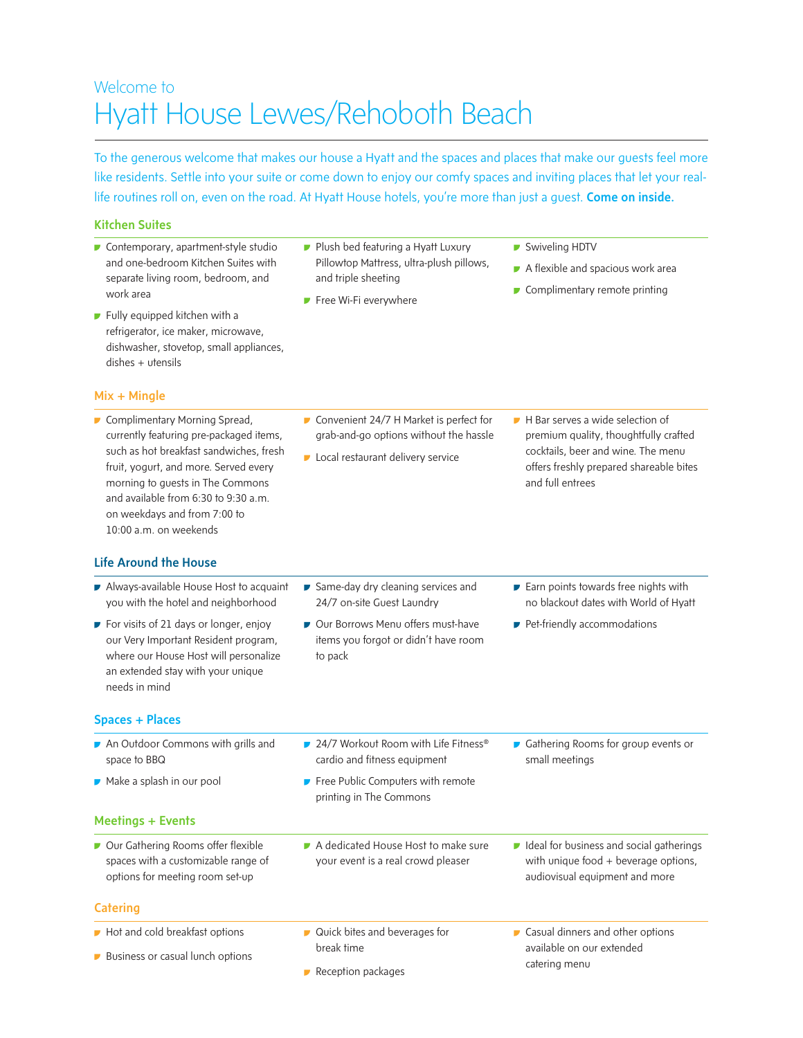## Welcome to Hyatt House Lewes/Rehoboth Beach

To the generous welcome that makes our house a Hyatt and the spaces and places that make our guests feel more like residents. Settle into your suite or come down to enjoy our comfy spaces and inviting places that let your reallife routines roll on, even on the road. At Hyatt House hotels, you're more than just a quest. Come on inside.

#### Kitchen Suites

- Contemporary, apartment-style studio and one-bedroom Kitchen Suites with separate living room, bedroom, and work area
- **Fully equipped kitchen with a** refrigerator, ice maker, microwave, dishwasher, stovetop, small appliances, dishes + utensils

#### Mix + Mingle

Complimentary Morning Spread, currently featuring pre-packaged items, such as hot breakfast sandwiches, fresh fruit, yogurt, and more. Served every morning to guests in The Commons and available from 6:30 to 9:30 a.m. on weekdays and from 7:00 to 10:00 a.m. on weekends

#### Life Around the House

- Always-available House Host to acquaint you with the hotel and neighborhood For visits of 21 days or longer, enjoy
- our Very Important Resident program, where our House Host will personalize an extended stay with your unique needs in mind

#### Spaces + Places

- An Outdoor Commons with grills and space to BBQ
- Make a splash in our pool

#### Meetings + Events

Our Gathering Rooms offer flexible spaces with a customizable range of options for meeting room set-up

#### **Catering**

- Hot and cold breakfast options
- **Business or casual lunch options**
- **Plush bed featuring a Hyatt Luxury** Pillowtop Mattress, ultra-plush pillows, and triple sheeting
- **Free Wi-Fi everywhere**
- Swiveling HDTV
- A flexible and spacious work area
- Complimentary remote printing

- Convenient 24/7 H Market is perfect for grab-and-go options without the hassle
- **Local restaurant delivery service**
- H Bar serves a wide selection of premium quality, thoughtfully crafted cocktails, beer and wine. The menu offers freshly prepared shareable bites and full entrees
- Same-day dry cleaning services and 24/7 on-site Guest Laundry
- Our Borrows Menu offers must-have items you forgot or didn't have room to pack
- Earn points towards free nights with no blackout dates with World of Hyatt

Gathering Rooms for group events or

 $\blacksquare$  Ideal for business and social gatherings with unique food + beverage options, audiovisual equipment and more

Pet-friendly accommodations

- 24/7 Workout Room with Life Fitness<sup>®</sup> cardio and fitness equipment
- **Free Public Computers with remote** printing in The Commons
- A dedicated House Host to make sure your event is a real crowd pleaser
- 
- **Casual dinners and other options**
- available on our extended catering menu

small meetings

Reception packages

break time

■ Quick bites and beverages for